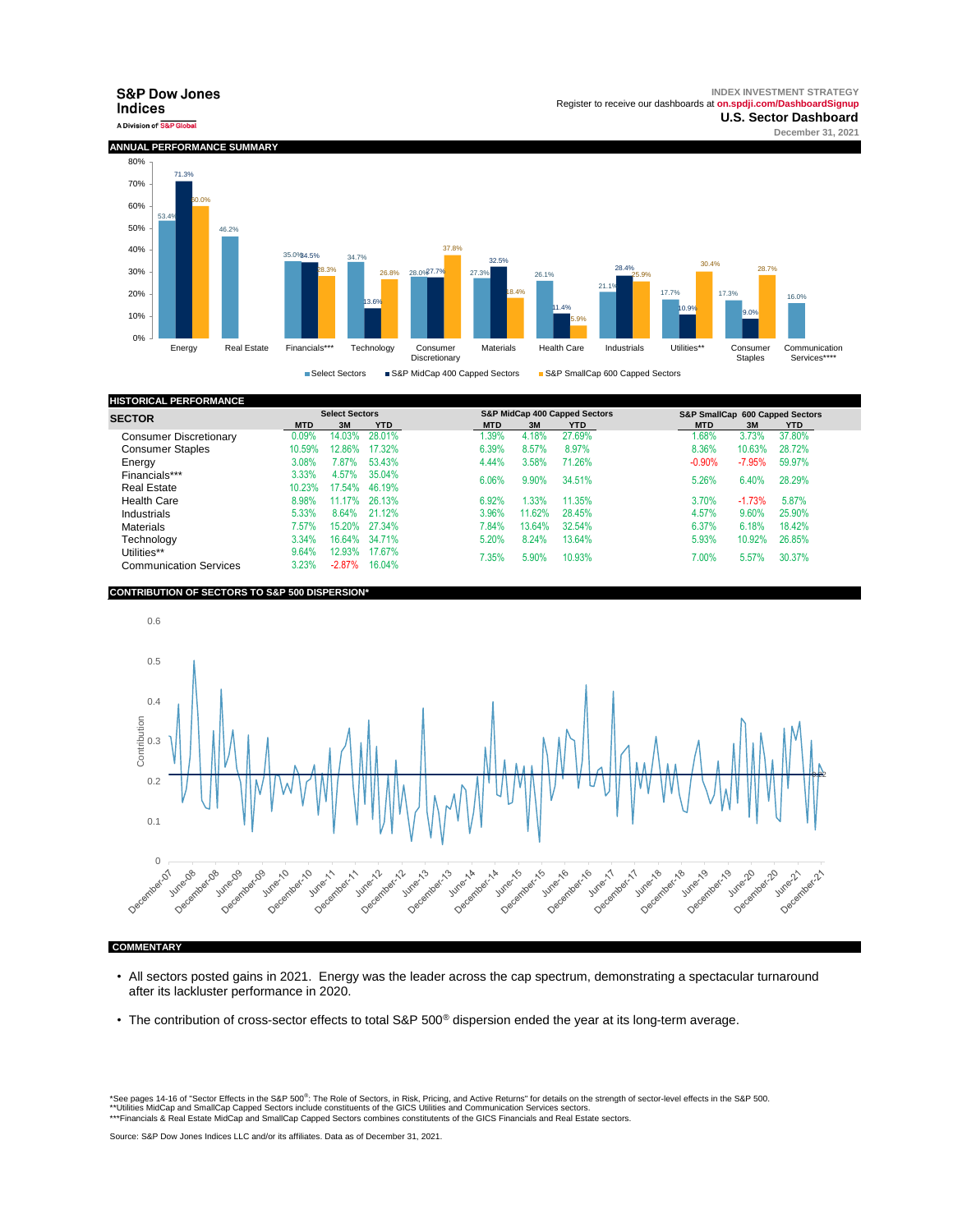**INDEX INVESTMENT STRATEGY**



| <b>HISTORICAL PERFORMANCE</b> |            |                       |            |                               |        |            |            |                                 |            |  |
|-------------------------------|------------|-----------------------|------------|-------------------------------|--------|------------|------------|---------------------------------|------------|--|
| <b>SECTOR</b>                 |            | <b>Select Sectors</b> |            | S&P MidCap 400 Capped Sectors |        |            |            | S&P SmallCap 600 Capped Sectors |            |  |
|                               | <b>MTD</b> | 3M                    | <b>YTD</b> | <b>MTD</b>                    | 3M     | <b>YTD</b> | <b>MTD</b> | 3M                              | <b>YTD</b> |  |
| <b>Consumer Discretionary</b> | 0.09%      | 14.03%                | 28.01%     | .39%                          | 4.18%  | 27.69%     | 1.68%      | 3.73%                           | 37.80%     |  |
| <b>Consumer Staples</b>       | 10.59%     | 12.86%                | 17.32%     | 6.39%                         | 8.57%  | 8.97%      | 8.36%      | 10.63%                          | 28.72%     |  |
| Enerav                        | 3.08%      | $2.87\%$              | 53.43%     | 4.44%                         | 3.58%  | 71.26%     | $-0.90%$   | $-7.95%$                        | 59.97%     |  |
| Financials***                 | 3.33%      | 4.57%                 | 35.04%     | 6.06%                         | 9.90%  | 34.51%     | 5.26%      | 6.40%                           | 28.29%     |  |
| <b>Real Estate</b>            | 10.23%     | 17.54%                | 46.19%     |                               |        |            |            |                                 |            |  |
| <b>Health Care</b>            | 8.98%      | 11.17%                | 26.13%     | 6.92%                         | .33%   | 11.35%     | 3.70%      | $-1.73%$                        | 5.87%      |  |
| Industrials                   | 5.33%      | 8.64%                 | 21.12%     | 3.96%                         | 11.62% | 28.45%     | 4.57%      | 9.60%                           | 25.90%     |  |
| <b>Materials</b>              | 7.57%      | 15.20%                | 27.34%     | 7.84%                         | 13.64% | 32.54%     | 6.37%      | 6.18%                           | 18.42%     |  |
| Technoloav                    | 3.34%      | 16.64%                | 34.71%     | 5.20%                         | 8.24%  | 13.64%     | 5.93%      | 10.92%                          | 26.85%     |  |
| Utilities**                   | 9.64%      | 12.93%                | 17.67%     | 7.35%                         | 5.90%  | 10.93%     | 7.00%      | 5.57%                           | 30.37%     |  |
| <b>Communication Services</b> | 3.23%      | $-2.87%$              | 16.04%     |                               |        |            |            |                                 |            |  |

## **CONTRIBUTION OF SECTORS TO S&P 500 DISPERSION\***



- All sectors posted gains in 2021. Energy was the leader across the cap spectrum, demonstrating a spectacular turnaround after its lackluster performance in 2020.
- The contribution of cross-sector effects to total S&P 500<sup>®</sup> dispersion ended the year at its long-term average.

\*See p[ages 14-16 of "Sector Effects in the S&P 500](https://spindices.com/documents/research/research-sector-effects-in-the-sp-500.pdf)<sup>®</sup>: The Role of Sectors, in Risk, Pricing, and Active Returns" for details on the strength of sector-level effects in the S&P 500.<br>\*\*Utilities MidCap and SmallCap Capped S \*\*\*Financials & Real Estate MidCap and SmallCap Capped Sectors combines constitutents of the GICS Financials and Real Estate sectors.

Source: S&P Dow Jones Indices LLC and/or its affiliates. Data as of December 31, 2021.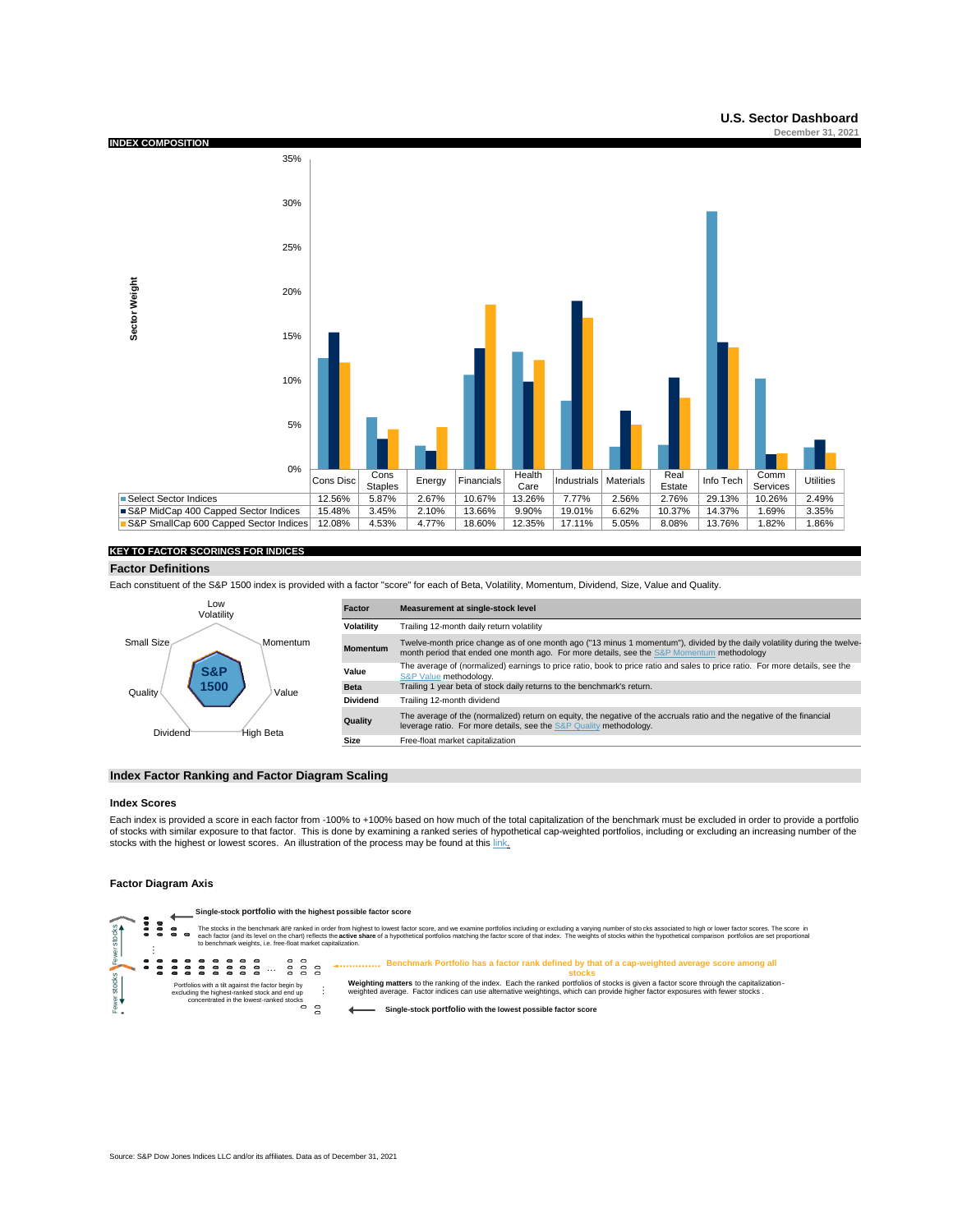

## **KEY TO FACTOR SCORINGS FOR INDICES**

#### **Factor Definitions**

Each constituent of the S&P 1500 index is provided with a factor "score" for each of Beta, Volatility, Momentum, Dividend, Size, Value and Quality.



## **Index Factor Ranking and Factor Diagram Scaling**

#### **Index Scores**

Each index is provided a score in each factor from -100% to +100% based on how much of the total capitalization of the benchmark must be excluded in order to provide a portfolio of stocks with similar exposure to that factor. This is done by examining a ranked series of hypothetical cap-weighted portfolios, including or excluding an increasing number of the stocks with the highest or lowest scores. An illustration of the process may be found at this link.

## **Factor Diagram Axis**

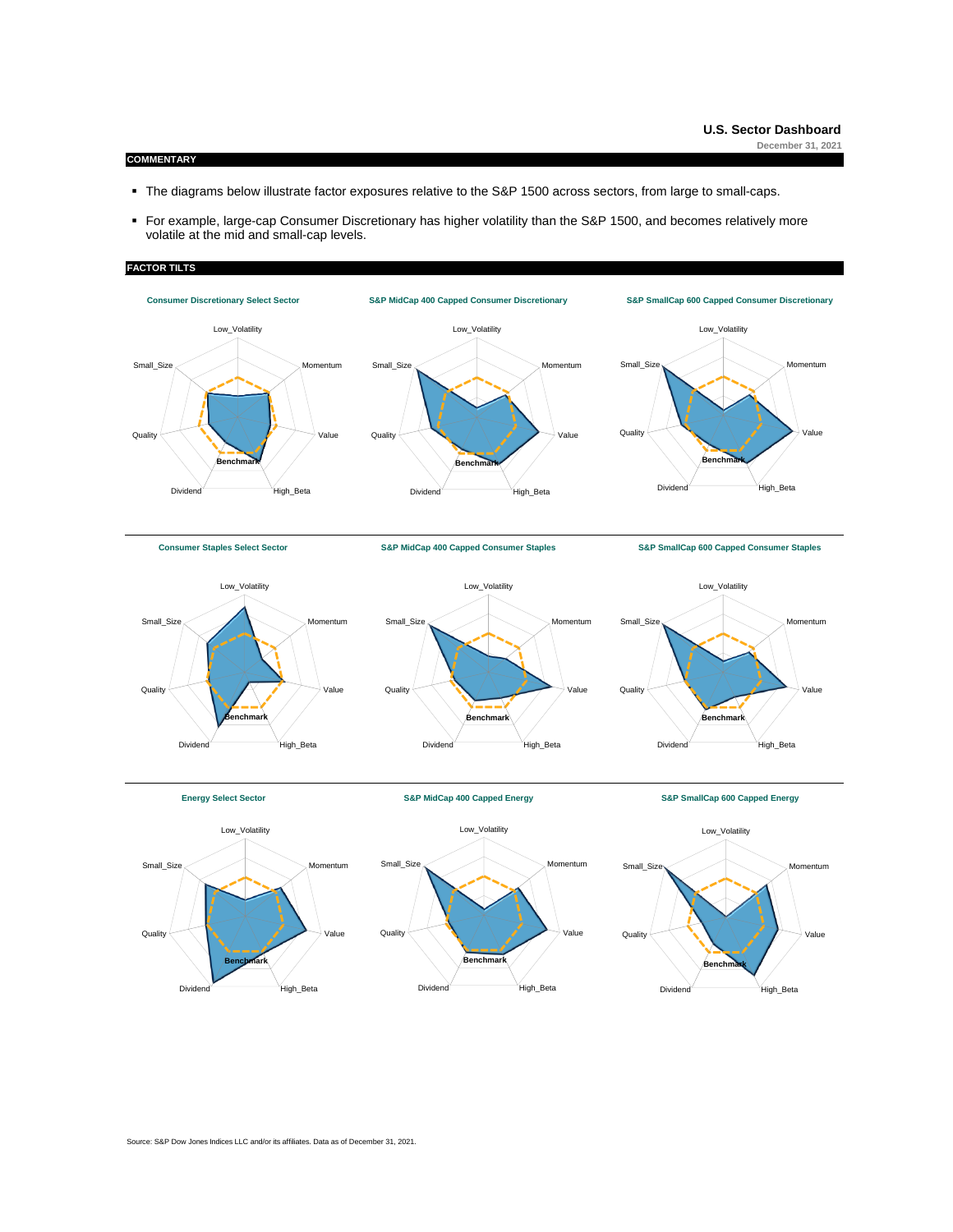# **COMMENTARY**

- The diagrams below illustrate factor exposures relative to the S&P 1500 across sectors, from large to small-caps.
- For example, large-cap Consumer Discretionary has higher volatility than the S&P 1500, and becomes relatively more volatile at the mid and small-cap levels.

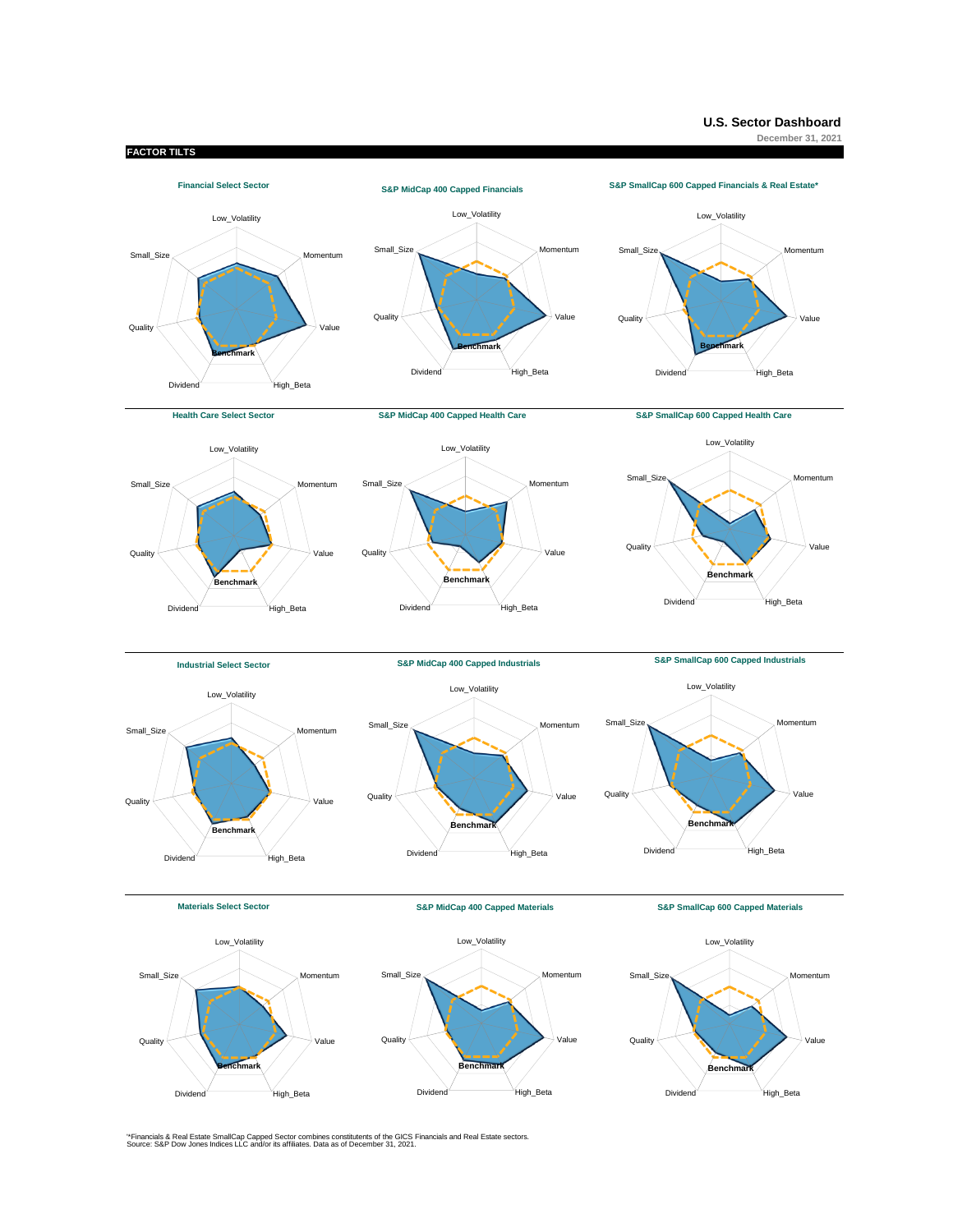

Dividend High\_Beta

'\*Financials & Real Estate SmallCap Capped Sector combines constitutents of the GICS Financials and Real Estate sectors. Source: S&P Dow Jones Indices LLC and/or its affiliates. Data as of December 31, 2021.

Dividend High\_Beta

Dividend High\_Beta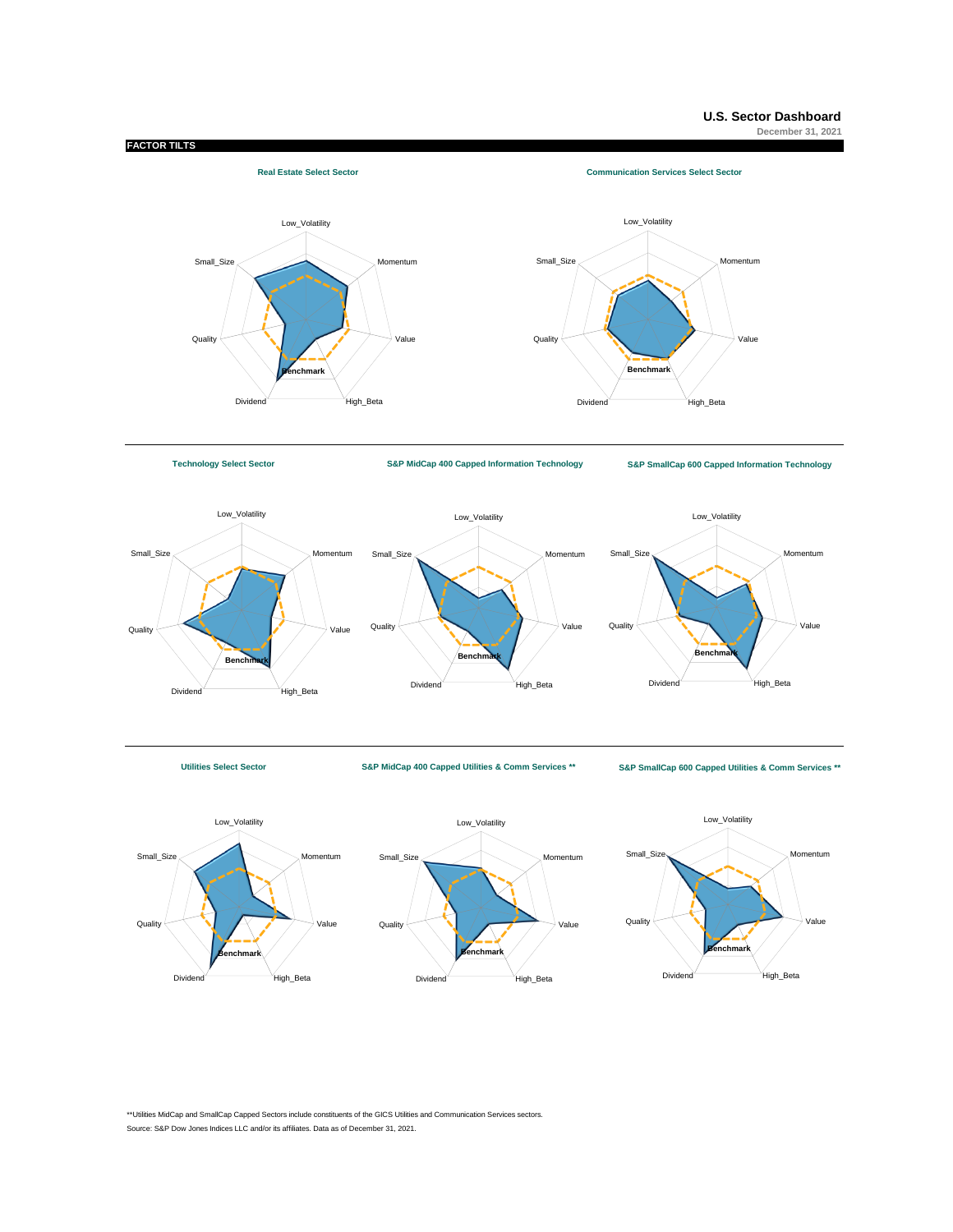

**[T](https://us.spindices.com/indices/equity/technology-select-sector-index/?utm_source=pdf_dashboard)echnology Select Sector**

**[S](https://us.spindices.com/indices/equity/sp-midcap-400-capped-information-technology-sector-index/?utm_source=pdf_dashboard)&P MidCap 400 Capped Information Technology [S&P S](https://us.spindices.com/indices/equity/sp-smallcap-600-capped-information-technology-sector/?utm_source=pdf_dashboard)mallCap 600 Capped Information Technology**







**Utilities Select Sector S&P MidCap 400 Capped Utilities & Comm Services \*\* [S&P Sm](https://us.spindices.com/indices/equity/sp-smallcap-600-capped-utilities-communication-services-sector-index/?utm_source=pdf_dashboard)allCap 600 Capped Utilities & Comm Services \*\***





\*\*Utilities MidCap and SmallCap Capped Sectors include constituents of the GICS Utilities and Communication Services sectors. Source: S&P Dow Jones Indices LLC and/or its affiliates. Data as of December 31, 2021.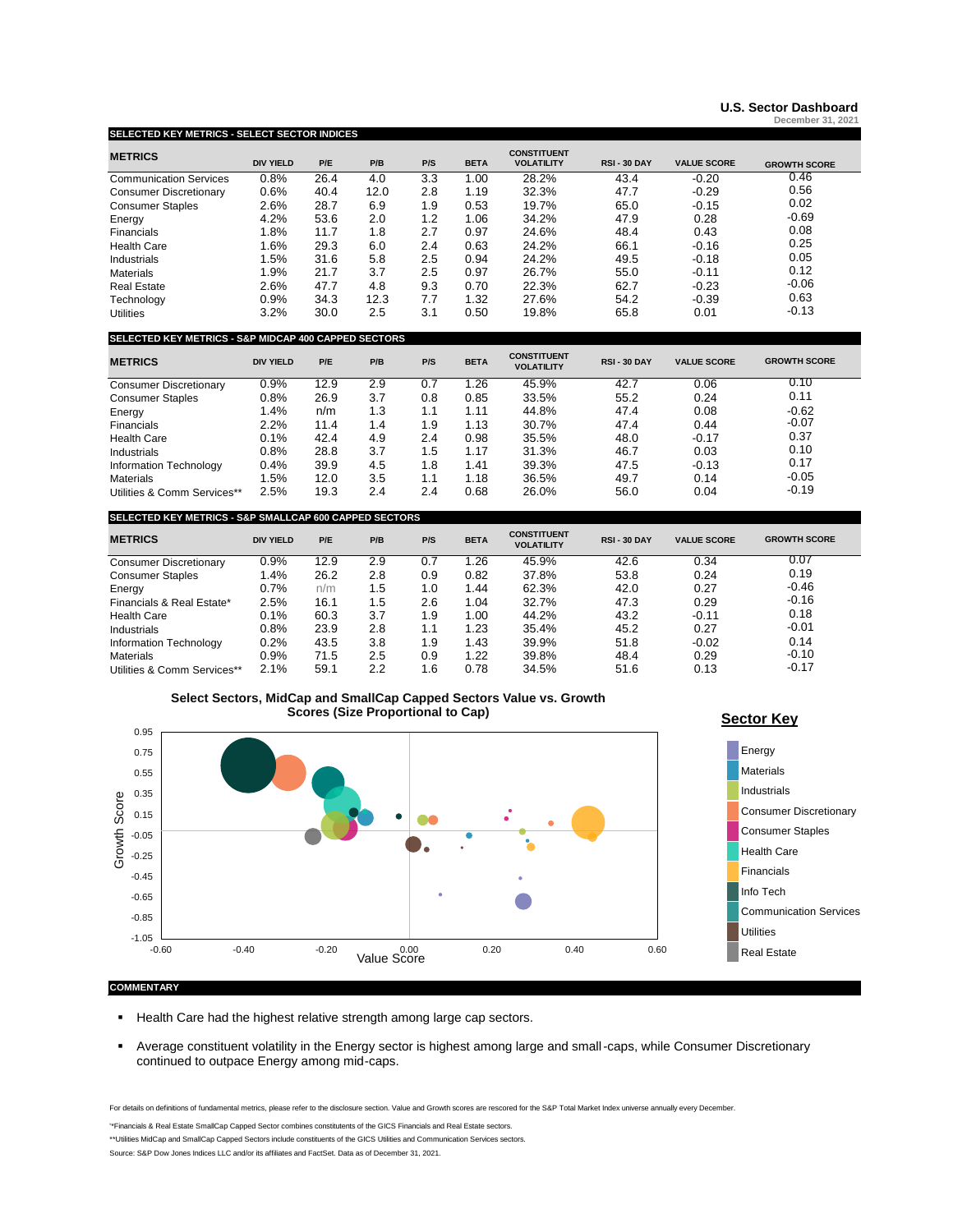## **[U.S. Sector](https://www.spglobal.com/spdji/en/documents/performance-reports/dashboard-us-sector.pdf) [Dashboard](https://www.spglobal.com/spdji/en/documents/performance-reports/dashboard-us-sector.pdf?src=USSector) December 31, 2021**

# **[SELECTED KEY METRICS - SELECT SECTOR INDICES](https://www.spglobal.com/spdji/en/landing/investment-themes/select-sector/)**

| <b>METRICS</b>                | <b>DIV YIELD</b> | P/E  | P/B  | P/S | <b>BETA</b> | <b>CONSTITUENT</b><br><b>VOLATILITY</b> | <b>RSI - 30 DAY</b> | <b>VALUE SCORE</b> | <b>GROWTH SCORE</b> |
|-------------------------------|------------------|------|------|-----|-------------|-----------------------------------------|---------------------|--------------------|---------------------|
| <b>Communication Services</b> | 0.8%             | 26.4 | 4.0  | 3.3 | 1.00        | 28.2%                                   | 43.4                | $-0.20$            | 0.46                |
| <b>Consumer Discretionary</b> | 0.6%             | 40.4 | 12.0 | 2.8 | 1.19        | 32.3%                                   | 47.7                | $-0.29$            | 0.56                |
| <b>Consumer Staples</b>       | 2.6%             | 28.7 | 6.9  | 1.9 | 0.53        | 19.7%                                   | 65.0                | $-0.15$            | 0.02                |
| Energy                        | 4.2%             | 53.6 | 2.0  | 1.2 | 1.06        | 34.2%                                   | 47.9                | 0.28               | $-0.69$             |
| Financials                    | 1.8%             | 11.7 | 1.8  | 2.7 | 0.97        | 24.6%                                   | 48.4                | 0.43               | 0.08                |
| <b>Health Care</b>            | 1.6%             | 29.3 | 6.0  | 2.4 | 0.63        | 24.2%                                   | 66.1                | $-0.16$            | 0.25                |
| Industrials                   | 1.5%             | 31.6 | 5.8  | 2.5 | 0.94        | 24.2%                                   | 49.5                | $-0.18$            | 0.05                |
| <b>Materials</b>              | 1.9%             | 21.7 | 3.7  | 2.5 | 0.97        | 26.7%                                   | 55.0                | $-0.11$            | 0.12                |
| <b>Real Estate</b>            | 2.6%             | 47.7 | 4.8  | 9.3 | 0.70        | 22.3%                                   | 62.7                | $-0.23$            | $-0.06$             |
| Technoloav                    | 0.9%             | 34.3 | 12.3 | 7.7 | 1.32        | 27.6%                                   | 54.2                | $-0.39$            | 0.63                |
| <b>Utilities</b>              | 3.2%             | 30.0 | 2.5  | 3.1 | 0.50        | 19.8%                                   | 65.8                | 0.01               | $-0.13$             |

# **SELECTED KEY METRICS - S&P MIDCAP 400 CAPPED SECTORS**

| <b>METRICS</b>                | <b>DIV YIELD</b> | P/E  | P/B | P/S | <b>BETA</b> | <b>CONSTITUENT</b><br><b>VOLATILITY</b> | <b>RSI-30 DAY</b> | <b>VALUE SCORE</b> | <b>GROWTH SCORE</b> |
|-------------------------------|------------------|------|-----|-----|-------------|-----------------------------------------|-------------------|--------------------|---------------------|
| <b>Consumer Discretionary</b> | 0.9%             | 12.9 | 2.9 | 0.7 | .26         | 45.9%                                   | 42.7              | 0.06               | 0.10                |
| <b>Consumer Staples</b>       | 0.8%             | 26.9 | 3.7 | 0.8 | 0.85        | 33.5%                                   | 55.2              | 0.24               | 0.11                |
| Energy                        | 1.4%             | n/m  | 1.3 | 1.1 | 1.11        | 44.8%                                   | 47.4              | 0.08               | $-0.62$             |
| Financials                    | 2.2%             | 11.4 | 1.4 | 1.9 | 1.13        | 30.7%                                   | 47.4              | 0.44               | $-0.07$             |
| <b>Health Care</b>            | 0.1%             | 42.4 | 4.9 | 2.4 | 0.98        | 35.5%                                   | 48.0              | $-0.17$            | 0.37                |
| Industrials                   | 0.8%             | 28.8 | 3.7 | 1.5 | 1.17        | 31.3%                                   | 46.7              | 0.03               | 0.10                |
| Information Technology        | 0.4%             | 39.9 | 4.5 | 1.8 | 1.41        | 39.3%                                   | 47.5              | $-0.13$            | 0.17                |
| <b>Materials</b>              | 1.5%             | 12.0 | 3.5 | 1.1 | 1.18        | 36.5%                                   | 49.7              | 0.14               | $-0.05$             |
| Utilities & Comm Services**   | 2.5%             | 19.3 | 2.4 | 2.4 | 0.68        | 26.0%                                   | 56.0              | 0.04               | $-0.19$             |

## **SELECTED KEY METRICS - S&P SMALLCAP 600 CAPPED SECTORS**

| <b>METRICS</b>                | <b>DIV YIELD</b> | P/E  | P/B | P/S | <b>BETA</b> | <b>CONSTITUENT</b><br><b>VOLATILITY</b> | <b>RSI-30 DAY</b> | <b>VALUE SCORE</b> | <b>GROWTH SCORE</b> |
|-------------------------------|------------------|------|-----|-----|-------------|-----------------------------------------|-------------------|--------------------|---------------------|
| <b>Consumer Discretionary</b> | 0.9%             | 12.9 | 2.9 | 0.7 | 1.26        | 45.9%                                   | 42.6              | 0.34               | 0.07                |
| <b>Consumer Staples</b>       | 1.4%             | 26.2 | 2.8 | 0.9 | 0.82        | 37.8%                                   | 53.8              | 0.24               | 0.19                |
| Energy                        | 0.7%             | n/m  | 1.5 | 1.0 | 1.44        | 62.3%                                   | 42.0              | 0.27               | $-0.46$             |
| Financials & Real Estate*     | 2.5%             | 16.1 | 1.5 | 2.6 | 1.04        | 32.7%                                   | 47.3              | 0.29               | $-0.16$             |
| <b>Health Care</b>            | 0.1%             | 60.3 | 3.7 | 1.9 | 1.00        | 44.2%                                   | 43.2              | $-0.11$            | 0.18                |
| Industrials                   | 0.8%             | 23.9 | 2.8 | 1.1 | 1.23        | 35.4%                                   | 45.2              | 0.27               | $-0.01$             |
| Information Technology        | 0.2%             | 43.5 | 3.8 | 1.9 | 1.43        | 39.9%                                   | 51.8              | $-0.02$            | 0.14                |
| <b>Materials</b>              | 0.9%             | 71.5 | 2.5 | 0.9 | 1.22        | 39.8%                                   | 48.4              | 0.29               | $-0.10$             |
| Utilities & Comm Services**   | 2.1%             | 59.1 | 2.2 | 6.، | 0.78        | 34.5%                                   | 51.6              | 0.13               | $-0.17$             |





- **EXECTE Health Care had the highest relative strength among large cap sectors.**
- Average constituent volatility in the Energy sector is highest among large and small-caps, while Consumer Discretionary continued to outpace Energy among mid-caps.

For details on definitions of fundamental metrics, please refer to the disclosure section. Value and Growth scores are rescored for the S&P Total Market Index universe annually every December.

'\*Financials & Real Estate SmallCap Capped Sector combines constitutents of the GICS Financials and Real Estate sectors.

\*\*Utilities MidCap and SmallCap Capped Sectors include constituents of the GICS Utilities and Communication Services sectors.

Source: S&P Dow Jones Indices LLC and/or its affiliates and FactSet. Data as of December 31, 2021.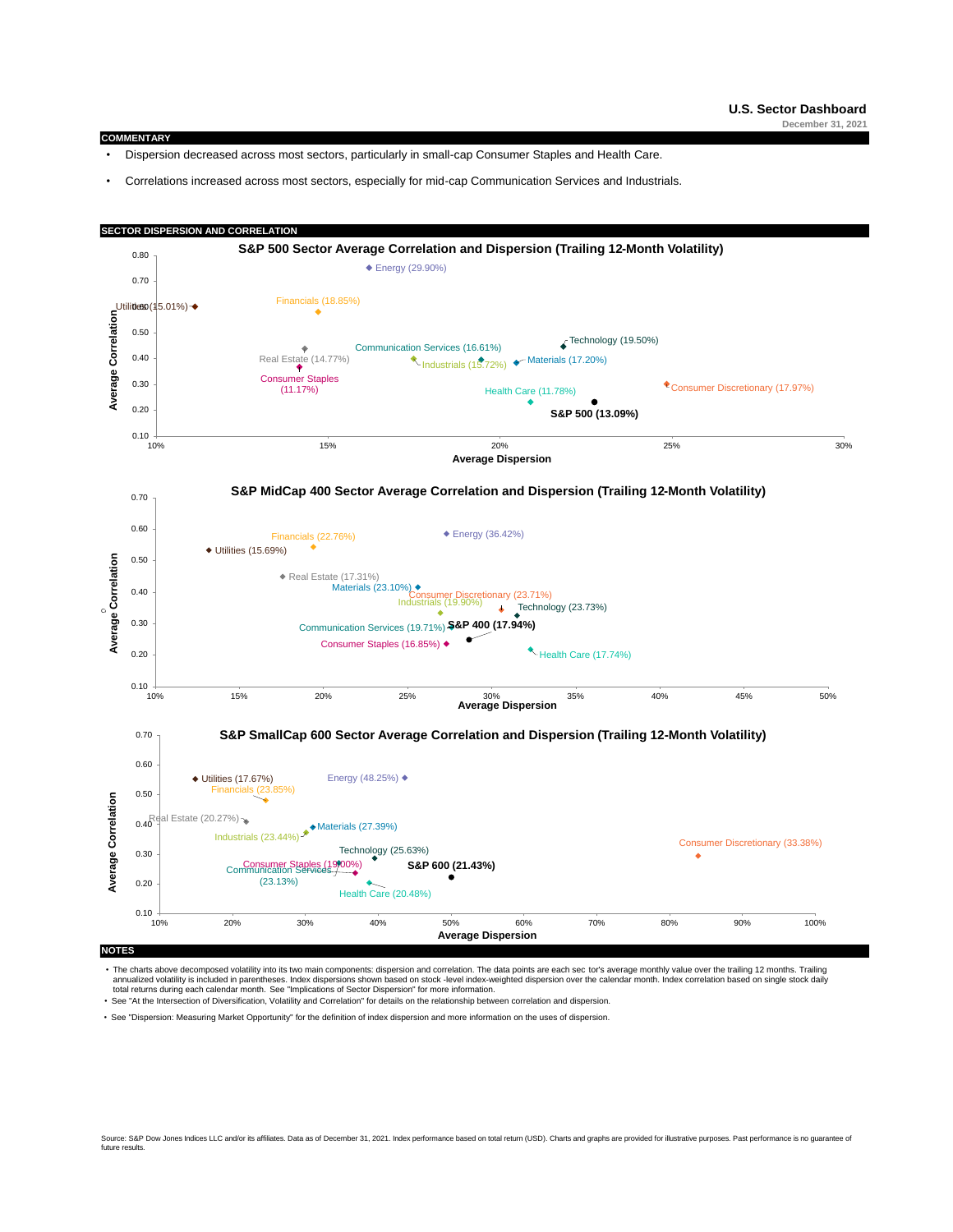#### **COMMENTARY**

- Dispersion decreased across most sectors, particularly in small-cap Consumer Staples and Health Care.
- Correlations increased across most sectors, especially for mid-cap Communication Services and Industrials.



[The charts above decomposed volatility into its two main components: dispersion and correlation. The data points are each sec](http://us.spindices.com/documents/research/research-some-implications-of-sector-dispersion.pdf) tor's average monthly value over the trailing 12 months. Trailing annualized volatility is included in parentheses. Index dispersions shown based on stock -level index-weighted dispersion over the calendar month. Index correlation based on single stock daily<br>total returns during each cal

• See ["At the Intersection of Diversification, Volatility and Correlation" for details on the relationship between correlation and dispersion.](http://us.spindices.com/documents/research/research-at-the-intersection-of-diversification-volatility-and-correlation.pdf)

• See ["Dispersion: Measuring Market Opportunity" for the definition of index dispersion and more information on the uses of dispersion.](http://us.spindices.com/documents/research/research-dispersion-measuring-market-opportunity.pdf)

Source: S&P Dow Jones Indices LLC and/or its affiliates. Data as of December 31, 2021. Index performance based on total return (USD). Charts and graphs are provided for illustrative purposes. Past performance is no guarant future results.